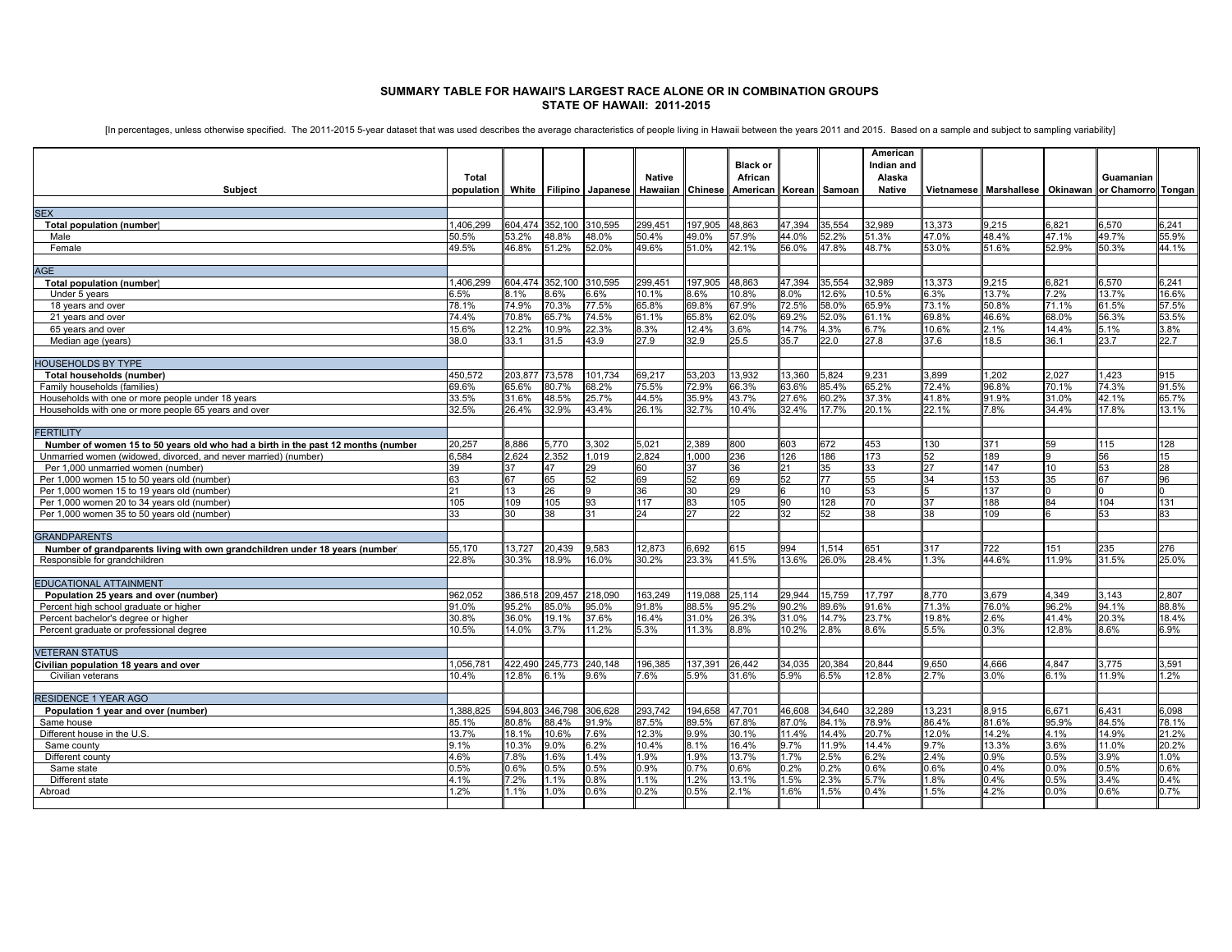## **SUMMARY TABLE FOR HAWAII'S LARGEST RACE ALONE OR IN COMBINATION GROUPS STATE OF HAWAII: 2011-2015**

[In percentages, unless otherwise specified. The 2011-2015 5-year dataset that was used describes the average characteristics of people living in Hawaii between the years 2011 and 2015. Based on a sample and subject to sam

| Total<br>African<br>Alaska<br>Guamanian<br><b>Native</b><br><b>Hawaiian</b> Chinese<br>American Korean Samoan<br>Vietnamese I Marshallese II Okinawan Ior Chamorrol<br>Subject<br>population<br>White<br><b>Filipino</b> Japanese<br><b>Native</b><br><b>SEX</b><br>352.100 310.595<br>299,451<br>197.905<br>48,863<br>47,394<br>35,554<br>32.989<br>13,373<br>9,215<br>6,821<br>6,241<br>1.406.299<br>604.474<br>6.570<br>Total population (number)<br>3.2%<br>48.8%<br>48.0%<br>49.0%<br>57.9%<br>44.0%<br>52.2%<br>51.3%<br>47.0%<br>48.4%<br>47.1%<br>49.7%<br>55.9%<br>50.5%<br>50.4%<br>Male<br>46.8%<br>51.2%<br>51.0%<br>56.0%<br>47.8%<br>48.7%<br>53.0%<br>51.6%<br>52.9%<br>44.1%<br>49.5%<br>52.0%<br>49.6%<br>42.1%<br>50.3%<br>Female<br>AGE<br>352.100<br>310.595<br>197.905<br>32.989<br>13,373<br>6,241<br>1.406.299<br>304.474<br>299,451<br>48,863<br>47,394<br>35,554<br>9,215<br>3.821<br>3.570<br><b>Total population (number)</b><br>6.5%<br>3.6%<br>6.6%<br>8.6%<br>10.8%<br>8.0%<br>12.6%<br>10.5%<br>$3.3\%$<br>13.7%<br>2%<br>13.7%<br>16.6%<br>Under 5 years<br>.1%<br>10.1%<br>72.5%<br>74.9%<br>70.3%<br>77.5%<br>65.8%<br>69.8%<br>58.0%<br>65.9%<br>73.1%<br>50.8%<br>71.1%<br>18 years and over<br>78.1%<br>67.9%<br>61.5%<br>57.5%<br>53.5%<br>65.7%<br>69.2%<br>52.0%<br>61.1%<br>69.8%<br>46.6%<br>56.3%<br>74.4%<br>70.8%<br>74.5%<br>61.1%<br>65.8%<br>62.0%<br>68.0%<br>21 years and over<br>6.7%<br>2.1%<br>15.6%<br>12.2%<br>10.9%<br>22.3%<br>8.3%<br>12.4%<br>3.6%<br>14.7%<br>4.3%<br>10.6%<br>14.4%<br>5.1%<br>3.8%<br>65 years and over<br>Median age (years)<br>38.0<br>31.5<br>43.9<br>27.9<br>32.9<br>25.5<br>35.7<br>22.0<br>27.8<br>37.6<br>18.5<br>36.1<br>23.7<br>22.7<br>33.1<br><b>HOUSEHOLDS BY TYPE</b><br>73,578<br>13,932<br>1,202<br>450,572<br>203,877<br>101,734<br>69,217<br>53,203<br>13,360<br>5,824<br>9,231<br>3,899<br>2.027<br>1,423<br>915<br>Total households (number)<br>65.6%<br>80.7%<br>68.2%<br>75.5%<br>72.9%<br>66.3%<br>63.6%<br>85.4%<br>65.2%<br>72.4%<br>96.8%<br>70.1%<br>74.3%<br>91.5%<br>Family households (families)<br>69.6%<br>33.5%<br>31.6%<br>48.5%<br>25.7%<br>44.5%<br>35.9%<br>43.7%<br>27.6%<br>30.2%<br>37.3%<br>41.8%<br>91.9%<br>31.0%<br>42.1%<br>65.7%<br>Households with one or more people under 18 years<br>32.9%<br>43.4%<br>32.4%<br>22.1%<br>7.8%<br>34.4%<br>Households with one or more people 65 years and over<br>32.5%<br>26.4%<br>26.1%<br>32.7%<br>10.4%<br>17.7%<br>20.1%<br>17.8%<br>13.1%<br><b>FERTILITY</b><br>2.389<br>672<br>Number of women 15 to 50 years old who had a birth in the past 12 months (number<br>20.257<br>3.886<br>5.770<br>3.302<br>5.021<br>800<br>603<br>453<br>130<br>371<br>59<br>115<br>128<br>Unmarried women (widowed, divorced, and never married) (number)<br>6.584<br>2.352<br>1.019<br>2.824<br>1.000<br>126<br>186<br>173<br>189<br>.624<br>236<br>15<br>52<br>56<br>39<br>29<br>37<br>36<br>21<br>35<br>33<br>$\overline{27}$<br>147<br>28<br>Per 1.000 unmarried women (number)<br>37<br>47<br>60<br>53<br>10<br>52<br>69<br>77<br>55<br>153<br>Per 1,000 women 15 to 50 years old (number)<br>63<br>67<br>65<br>52<br>69<br>52<br>34<br>35<br>67<br>96<br>Per 1,000 women 15 to 19 years old (number)<br>53<br>137<br>21<br>13<br>26<br>36<br>30<br>29<br>10<br>Per 1,000 women 20 to 34 years old (number)<br>105<br>109<br>105<br>93<br>117<br>83<br>105<br>90<br>128<br>70<br>37<br>188<br>104<br>131<br>27<br>109<br>Per 1,000 women 35 to 50 years old (number)<br>38<br>31<br>24<br>22<br>32<br>52<br>38<br>38<br>83<br>33<br>30<br>53<br><b>GRANDPARENTS</b><br>3.727<br>20.439<br>9.583<br>6.692<br>994<br>722<br>55.170<br>12.873<br>615<br>.514<br>651<br>317<br>151<br>235<br>276<br>Number of grandparents living with own grandchildren under 18 years (number<br>22.8%<br>30.3%<br>18.9%<br>16.0%<br>30.2%<br>23.3%<br>41.5%<br>13.6%<br>26.0%<br>28.4%<br>.3%<br>44.6%<br>11.9%<br>31.5%<br>25.0%<br>Responsible for grandchildren<br><b>EDUCATIONAL ATTAINMENT</b><br>962.052<br>386.518<br>209.457<br>218.090<br>163.249<br>119.088<br>29.944<br>15.759<br>17.797<br>8.770<br>3.679<br>4.349<br>3.143<br>2.807<br>Population 25 years and over (number)<br>25.114<br>76.0%<br>96.2%<br>88.8%<br>Percent high school graduate or higher<br>91.0%<br>95.2%<br>35.0%<br>95.0%<br>91.8%<br>88.5%<br>95.2%<br>90.2%<br>89.6%<br>91.6%<br>71.3%<br>94.1%<br>30.8%<br>36.0%<br>19.1%<br>37.6%<br>16.4%<br>31.0%<br>26.3%<br>31.0%<br>14.7%<br>23.7%<br>19.8%<br>2.6%<br>41.4%<br>20.3%<br>18.4%<br>Percent bachelor's degree or higher<br>10.5%<br>4.0%<br>3.7%<br>11.2%<br>5.3%<br>11.3%<br>8.8%<br>10.2%<br>2.8%<br>8.6%<br>5.5%<br>0.3%<br>12.8%<br>3.6%<br>6.9%<br>Percent graduate or professional degree<br><b>VETERAN STATUS</b><br>122.490<br>245.773<br>240.148<br>196.385<br>137.391<br>26.442<br>34.035<br>20.384<br>20.844<br>9.650<br>4.666<br>4.847<br>3.775<br>3.591<br>Civilian population 18 years and over<br>1.056.781<br>2.8%<br>3.1%<br>9.6%<br>5.9%<br>5.9%<br>6.5%<br>12.8%<br>2.7%<br>3.0%<br>6.1%<br>1.2%<br>10.4%<br>7.6%<br>31.6%<br>11.9%<br>Civilian veterans<br><b>RESIDENCE 1 YEAR AGO</b><br>1.388.825<br>594.803<br>346,798<br>306,628<br>293,742<br>194,658<br>47,701<br>46,608<br>34,640<br>32,289<br>13,231<br>8,915<br>6,671<br>6.431<br>6.098<br>Population 1 year and over (number)<br>78.9%<br>30.8%<br>88.4%<br>91.9%<br>87.5%<br>89.5%<br>67.8%<br>87.0%<br>84.1%<br>86.4%<br>81.6%<br>95.9%<br>84.5%<br>78.1%<br>Same house<br>85.1%<br>12.0%<br>14.2%<br>14.9%<br>Different house in the U.S.<br>13.7%<br>18.1%<br>10.6%<br>7.6%<br>12.3%<br>9.9%<br>30.1%<br>11.4%<br>14.4%<br>20.7%<br>1.1%<br>21.2%<br>16.4%<br>9.7%<br>14.4%<br>13.3%<br>3.6%<br>20.2%<br>9.1%<br>10.3%<br>9.0%<br>6.2%<br>10.4%<br>8.1%<br>11.9%<br>9.7%<br>11.0%<br>Same county<br>4.6%<br>.8%<br>1.6%<br>1.4%<br>1.9%<br>1.9%<br>13.7%<br>1.7%<br>2.5%<br>6.2%<br>2.4%<br>0.9%<br>.5%<br>3.9%<br>1.0%<br>Different county<br>0.5%<br>.5%<br>0.5%<br>0.9%<br>0.2%<br>0.6%<br>$0.6\%$<br>0.4%<br>0.6%<br>0.6%<br>0.7%<br>0.6%<br>0.2%<br>$0.0\%$<br>0.5%<br>Same state<br>0.8%<br>1.5%<br>5.7%<br>$.8\%$<br>0.4%<br>3.4%<br>0.4%<br>Different state<br>2%<br>1.1%<br>1.1%<br>1.2%<br>13.1%<br>2.3%<br>.5%<br>4.1%<br>4.2%<br>1.2%<br>1.0%<br>0.6%<br>0.2%<br>0.5%<br>2.1%<br>1.6%<br>1.5%<br>0.4%<br>.5%<br>$0.0\%$<br>0.6%<br>0.7%<br>Abroad<br>1.1% |  |  |  | <b>Black or</b> |  | American<br>Indian and |  |  |  |
|--------------------------------------------------------------------------------------------------------------------------------------------------------------------------------------------------------------------------------------------------------------------------------------------------------------------------------------------------------------------------------------------------------------------------------------------------------------------------------------------------------------------------------------------------------------------------------------------------------------------------------------------------------------------------------------------------------------------------------------------------------------------------------------------------------------------------------------------------------------------------------------------------------------------------------------------------------------------------------------------------------------------------------------------------------------------------------------------------------------------------------------------------------------------------------------------------------------------------------------------------------------------------------------------------------------------------------------------------------------------------------------------------------------------------------------------------------------------------------------------------------------------------------------------------------------------------------------------------------------------------------------------------------------------------------------------------------------------------------------------------------------------------------------------------------------------------------------------------------------------------------------------------------------------------------------------------------------------------------------------------------------------------------------------------------------------------------------------------------------------------------------------------------------------------------------------------------------------------------------------------------------------------------------------------------------------------------------------------------------------------------------------------------------------------------------------------------------------------------------------------------------------------------------------------------------------------------------------------------------------------------------------------------------------------------------------------------------------------------------------------------------------------------------------------------------------------------------------------------------------------------------------------------------------------------------------------------------------------------------------------------------------------------------------------------------------------------------------------------------------------------------------------------------------------------------------------------------------------------------------------------------------------------------------------------------------------------------------------------------------------------------------------------------------------------------------------------------------------------------------------------------------------------------------------------------------------------------------------------------------------------------------------------------------------------------------------------------------------------------------------------------------------------------------------------------------------------------------------------------------------------------------------------------------------------------------------------------------------------------------------------------------------------------------------------------------------------------------------------------------------------------------------------------------------------------------------------------------------------------------------------------------------------------------------------------------------------------------------------------------------------------------------------------------------------------------------------------------------------------------------------------------------------------------------------------------------------------------------------------------------------------------------------------------------------------------------------------------------------------------------------------------------------------------------------------------------------------------------------------------------------------------------------------------------------------------------------------------------------------------------------------------------------------------------------------------------------------------------------------------------------------------------------------------------------------------------------------------------------------------------------------------------------------------------------------------------------------------------------------------------------------------------------------------------------------------------------------------------------------------------------------------------------------------------------------------------------------------------------------------------------------------------------------------------------------------------------------------------------------------------------------------------------------------------------------------------------------------------------------------------------------------------------------------------------------------------------------------------------------------------------------------------------------------------------------------------------------------------------------------------------------------------------------------------------------------------------------------------------------------------------------------------------------------------------------------------------------------------------------------------------------------------------------------------------------------|--|--|--|-----------------|--|------------------------|--|--|--|
| Tongan                                                                                                                                                                                                                                                                                                                                                                                                                                                                                                                                                                                                                                                                                                                                                                                                                                                                                                                                                                                                                                                                                                                                                                                                                                                                                                                                                                                                                                                                                                                                                                                                                                                                                                                                                                                                                                                                                                                                                                                                                                                                                                                                                                                                                                                                                                                                                                                                                                                                                                                                                                                                                                                                                                                                                                                                                                                                                                                                                                                                                                                                                                                                                                                                                                                                                                                                                                                                                                                                                                                                                                                                                                                                                                                                                                                                                                                                                                                                                                                                                                                                                                                                                                                                                                                                                                                                                                                                                                                                                                                                                                                                                                                                                                                                                                                                                                                                                                                                                                                                                                                                                                                                                                                                                                                                                                                                                                                                                                                                                                                                                                                                                                                                                                                                                                                                                                                                                                                                                                                                                                                                                                                                                                                                                                                                                                                                                                                                                                     |  |  |  |                 |  |                        |  |  |  |
|                                                                                                                                                                                                                                                                                                                                                                                                                                                                                                                                                                                                                                                                                                                                                                                                                                                                                                                                                                                                                                                                                                                                                                                                                                                                                                                                                                                                                                                                                                                                                                                                                                                                                                                                                                                                                                                                                                                                                                                                                                                                                                                                                                                                                                                                                                                                                                                                                                                                                                                                                                                                                                                                                                                                                                                                                                                                                                                                                                                                                                                                                                                                                                                                                                                                                                                                                                                                                                                                                                                                                                                                                                                                                                                                                                                                                                                                                                                                                                                                                                                                                                                                                                                                                                                                                                                                                                                                                                                                                                                                                                                                                                                                                                                                                                                                                                                                                                                                                                                                                                                                                                                                                                                                                                                                                                                                                                                                                                                                                                                                                                                                                                                                                                                                                                                                                                                                                                                                                                                                                                                                                                                                                                                                                                                                                                                                                                                                                                            |  |  |  |                 |  |                        |  |  |  |
|                                                                                                                                                                                                                                                                                                                                                                                                                                                                                                                                                                                                                                                                                                                                                                                                                                                                                                                                                                                                                                                                                                                                                                                                                                                                                                                                                                                                                                                                                                                                                                                                                                                                                                                                                                                                                                                                                                                                                                                                                                                                                                                                                                                                                                                                                                                                                                                                                                                                                                                                                                                                                                                                                                                                                                                                                                                                                                                                                                                                                                                                                                                                                                                                                                                                                                                                                                                                                                                                                                                                                                                                                                                                                                                                                                                                                                                                                                                                                                                                                                                                                                                                                                                                                                                                                                                                                                                                                                                                                                                                                                                                                                                                                                                                                                                                                                                                                                                                                                                                                                                                                                                                                                                                                                                                                                                                                                                                                                                                                                                                                                                                                                                                                                                                                                                                                                                                                                                                                                                                                                                                                                                                                                                                                                                                                                                                                                                                                                            |  |  |  |                 |  |                        |  |  |  |
|                                                                                                                                                                                                                                                                                                                                                                                                                                                                                                                                                                                                                                                                                                                                                                                                                                                                                                                                                                                                                                                                                                                                                                                                                                                                                                                                                                                                                                                                                                                                                                                                                                                                                                                                                                                                                                                                                                                                                                                                                                                                                                                                                                                                                                                                                                                                                                                                                                                                                                                                                                                                                                                                                                                                                                                                                                                                                                                                                                                                                                                                                                                                                                                                                                                                                                                                                                                                                                                                                                                                                                                                                                                                                                                                                                                                                                                                                                                                                                                                                                                                                                                                                                                                                                                                                                                                                                                                                                                                                                                                                                                                                                                                                                                                                                                                                                                                                                                                                                                                                                                                                                                                                                                                                                                                                                                                                                                                                                                                                                                                                                                                                                                                                                                                                                                                                                                                                                                                                                                                                                                                                                                                                                                                                                                                                                                                                                                                                                            |  |  |  |                 |  |                        |  |  |  |
|                                                                                                                                                                                                                                                                                                                                                                                                                                                                                                                                                                                                                                                                                                                                                                                                                                                                                                                                                                                                                                                                                                                                                                                                                                                                                                                                                                                                                                                                                                                                                                                                                                                                                                                                                                                                                                                                                                                                                                                                                                                                                                                                                                                                                                                                                                                                                                                                                                                                                                                                                                                                                                                                                                                                                                                                                                                                                                                                                                                                                                                                                                                                                                                                                                                                                                                                                                                                                                                                                                                                                                                                                                                                                                                                                                                                                                                                                                                                                                                                                                                                                                                                                                                                                                                                                                                                                                                                                                                                                                                                                                                                                                                                                                                                                                                                                                                                                                                                                                                                                                                                                                                                                                                                                                                                                                                                                                                                                                                                                                                                                                                                                                                                                                                                                                                                                                                                                                                                                                                                                                                                                                                                                                                                                                                                                                                                                                                                                                            |  |  |  |                 |  |                        |  |  |  |
|                                                                                                                                                                                                                                                                                                                                                                                                                                                                                                                                                                                                                                                                                                                                                                                                                                                                                                                                                                                                                                                                                                                                                                                                                                                                                                                                                                                                                                                                                                                                                                                                                                                                                                                                                                                                                                                                                                                                                                                                                                                                                                                                                                                                                                                                                                                                                                                                                                                                                                                                                                                                                                                                                                                                                                                                                                                                                                                                                                                                                                                                                                                                                                                                                                                                                                                                                                                                                                                                                                                                                                                                                                                                                                                                                                                                                                                                                                                                                                                                                                                                                                                                                                                                                                                                                                                                                                                                                                                                                                                                                                                                                                                                                                                                                                                                                                                                                                                                                                                                                                                                                                                                                                                                                                                                                                                                                                                                                                                                                                                                                                                                                                                                                                                                                                                                                                                                                                                                                                                                                                                                                                                                                                                                                                                                                                                                                                                                                                            |  |  |  |                 |  |                        |  |  |  |
|                                                                                                                                                                                                                                                                                                                                                                                                                                                                                                                                                                                                                                                                                                                                                                                                                                                                                                                                                                                                                                                                                                                                                                                                                                                                                                                                                                                                                                                                                                                                                                                                                                                                                                                                                                                                                                                                                                                                                                                                                                                                                                                                                                                                                                                                                                                                                                                                                                                                                                                                                                                                                                                                                                                                                                                                                                                                                                                                                                                                                                                                                                                                                                                                                                                                                                                                                                                                                                                                                                                                                                                                                                                                                                                                                                                                                                                                                                                                                                                                                                                                                                                                                                                                                                                                                                                                                                                                                                                                                                                                                                                                                                                                                                                                                                                                                                                                                                                                                                                                                                                                                                                                                                                                                                                                                                                                                                                                                                                                                                                                                                                                                                                                                                                                                                                                                                                                                                                                                                                                                                                                                                                                                                                                                                                                                                                                                                                                                                            |  |  |  |                 |  |                        |  |  |  |
|                                                                                                                                                                                                                                                                                                                                                                                                                                                                                                                                                                                                                                                                                                                                                                                                                                                                                                                                                                                                                                                                                                                                                                                                                                                                                                                                                                                                                                                                                                                                                                                                                                                                                                                                                                                                                                                                                                                                                                                                                                                                                                                                                                                                                                                                                                                                                                                                                                                                                                                                                                                                                                                                                                                                                                                                                                                                                                                                                                                                                                                                                                                                                                                                                                                                                                                                                                                                                                                                                                                                                                                                                                                                                                                                                                                                                                                                                                                                                                                                                                                                                                                                                                                                                                                                                                                                                                                                                                                                                                                                                                                                                                                                                                                                                                                                                                                                                                                                                                                                                                                                                                                                                                                                                                                                                                                                                                                                                                                                                                                                                                                                                                                                                                                                                                                                                                                                                                                                                                                                                                                                                                                                                                                                                                                                                                                                                                                                                                            |  |  |  |                 |  |                        |  |  |  |
|                                                                                                                                                                                                                                                                                                                                                                                                                                                                                                                                                                                                                                                                                                                                                                                                                                                                                                                                                                                                                                                                                                                                                                                                                                                                                                                                                                                                                                                                                                                                                                                                                                                                                                                                                                                                                                                                                                                                                                                                                                                                                                                                                                                                                                                                                                                                                                                                                                                                                                                                                                                                                                                                                                                                                                                                                                                                                                                                                                                                                                                                                                                                                                                                                                                                                                                                                                                                                                                                                                                                                                                                                                                                                                                                                                                                                                                                                                                                                                                                                                                                                                                                                                                                                                                                                                                                                                                                                                                                                                                                                                                                                                                                                                                                                                                                                                                                                                                                                                                                                                                                                                                                                                                                                                                                                                                                                                                                                                                                                                                                                                                                                                                                                                                                                                                                                                                                                                                                                                                                                                                                                                                                                                                                                                                                                                                                                                                                                                            |  |  |  |                 |  |                        |  |  |  |
|                                                                                                                                                                                                                                                                                                                                                                                                                                                                                                                                                                                                                                                                                                                                                                                                                                                                                                                                                                                                                                                                                                                                                                                                                                                                                                                                                                                                                                                                                                                                                                                                                                                                                                                                                                                                                                                                                                                                                                                                                                                                                                                                                                                                                                                                                                                                                                                                                                                                                                                                                                                                                                                                                                                                                                                                                                                                                                                                                                                                                                                                                                                                                                                                                                                                                                                                                                                                                                                                                                                                                                                                                                                                                                                                                                                                                                                                                                                                                                                                                                                                                                                                                                                                                                                                                                                                                                                                                                                                                                                                                                                                                                                                                                                                                                                                                                                                                                                                                                                                                                                                                                                                                                                                                                                                                                                                                                                                                                                                                                                                                                                                                                                                                                                                                                                                                                                                                                                                                                                                                                                                                                                                                                                                                                                                                                                                                                                                                                            |  |  |  |                 |  |                        |  |  |  |
|                                                                                                                                                                                                                                                                                                                                                                                                                                                                                                                                                                                                                                                                                                                                                                                                                                                                                                                                                                                                                                                                                                                                                                                                                                                                                                                                                                                                                                                                                                                                                                                                                                                                                                                                                                                                                                                                                                                                                                                                                                                                                                                                                                                                                                                                                                                                                                                                                                                                                                                                                                                                                                                                                                                                                                                                                                                                                                                                                                                                                                                                                                                                                                                                                                                                                                                                                                                                                                                                                                                                                                                                                                                                                                                                                                                                                                                                                                                                                                                                                                                                                                                                                                                                                                                                                                                                                                                                                                                                                                                                                                                                                                                                                                                                                                                                                                                                                                                                                                                                                                                                                                                                                                                                                                                                                                                                                                                                                                                                                                                                                                                                                                                                                                                                                                                                                                                                                                                                                                                                                                                                                                                                                                                                                                                                                                                                                                                                                                            |  |  |  |                 |  |                        |  |  |  |
|                                                                                                                                                                                                                                                                                                                                                                                                                                                                                                                                                                                                                                                                                                                                                                                                                                                                                                                                                                                                                                                                                                                                                                                                                                                                                                                                                                                                                                                                                                                                                                                                                                                                                                                                                                                                                                                                                                                                                                                                                                                                                                                                                                                                                                                                                                                                                                                                                                                                                                                                                                                                                                                                                                                                                                                                                                                                                                                                                                                                                                                                                                                                                                                                                                                                                                                                                                                                                                                                                                                                                                                                                                                                                                                                                                                                                                                                                                                                                                                                                                                                                                                                                                                                                                                                                                                                                                                                                                                                                                                                                                                                                                                                                                                                                                                                                                                                                                                                                                                                                                                                                                                                                                                                                                                                                                                                                                                                                                                                                                                                                                                                                                                                                                                                                                                                                                                                                                                                                                                                                                                                                                                                                                                                                                                                                                                                                                                                                                            |  |  |  |                 |  |                        |  |  |  |
|                                                                                                                                                                                                                                                                                                                                                                                                                                                                                                                                                                                                                                                                                                                                                                                                                                                                                                                                                                                                                                                                                                                                                                                                                                                                                                                                                                                                                                                                                                                                                                                                                                                                                                                                                                                                                                                                                                                                                                                                                                                                                                                                                                                                                                                                                                                                                                                                                                                                                                                                                                                                                                                                                                                                                                                                                                                                                                                                                                                                                                                                                                                                                                                                                                                                                                                                                                                                                                                                                                                                                                                                                                                                                                                                                                                                                                                                                                                                                                                                                                                                                                                                                                                                                                                                                                                                                                                                                                                                                                                                                                                                                                                                                                                                                                                                                                                                                                                                                                                                                                                                                                                                                                                                                                                                                                                                                                                                                                                                                                                                                                                                                                                                                                                                                                                                                                                                                                                                                                                                                                                                                                                                                                                                                                                                                                                                                                                                                                            |  |  |  |                 |  |                        |  |  |  |
|                                                                                                                                                                                                                                                                                                                                                                                                                                                                                                                                                                                                                                                                                                                                                                                                                                                                                                                                                                                                                                                                                                                                                                                                                                                                                                                                                                                                                                                                                                                                                                                                                                                                                                                                                                                                                                                                                                                                                                                                                                                                                                                                                                                                                                                                                                                                                                                                                                                                                                                                                                                                                                                                                                                                                                                                                                                                                                                                                                                                                                                                                                                                                                                                                                                                                                                                                                                                                                                                                                                                                                                                                                                                                                                                                                                                                                                                                                                                                                                                                                                                                                                                                                                                                                                                                                                                                                                                                                                                                                                                                                                                                                                                                                                                                                                                                                                                                                                                                                                                                                                                                                                                                                                                                                                                                                                                                                                                                                                                                                                                                                                                                                                                                                                                                                                                                                                                                                                                                                                                                                                                                                                                                                                                                                                                                                                                                                                                                                            |  |  |  |                 |  |                        |  |  |  |
|                                                                                                                                                                                                                                                                                                                                                                                                                                                                                                                                                                                                                                                                                                                                                                                                                                                                                                                                                                                                                                                                                                                                                                                                                                                                                                                                                                                                                                                                                                                                                                                                                                                                                                                                                                                                                                                                                                                                                                                                                                                                                                                                                                                                                                                                                                                                                                                                                                                                                                                                                                                                                                                                                                                                                                                                                                                                                                                                                                                                                                                                                                                                                                                                                                                                                                                                                                                                                                                                                                                                                                                                                                                                                                                                                                                                                                                                                                                                                                                                                                                                                                                                                                                                                                                                                                                                                                                                                                                                                                                                                                                                                                                                                                                                                                                                                                                                                                                                                                                                                                                                                                                                                                                                                                                                                                                                                                                                                                                                                                                                                                                                                                                                                                                                                                                                                                                                                                                                                                                                                                                                                                                                                                                                                                                                                                                                                                                                                                            |  |  |  |                 |  |                        |  |  |  |
|                                                                                                                                                                                                                                                                                                                                                                                                                                                                                                                                                                                                                                                                                                                                                                                                                                                                                                                                                                                                                                                                                                                                                                                                                                                                                                                                                                                                                                                                                                                                                                                                                                                                                                                                                                                                                                                                                                                                                                                                                                                                                                                                                                                                                                                                                                                                                                                                                                                                                                                                                                                                                                                                                                                                                                                                                                                                                                                                                                                                                                                                                                                                                                                                                                                                                                                                                                                                                                                                                                                                                                                                                                                                                                                                                                                                                                                                                                                                                                                                                                                                                                                                                                                                                                                                                                                                                                                                                                                                                                                                                                                                                                                                                                                                                                                                                                                                                                                                                                                                                                                                                                                                                                                                                                                                                                                                                                                                                                                                                                                                                                                                                                                                                                                                                                                                                                                                                                                                                                                                                                                                                                                                                                                                                                                                                                                                                                                                                                            |  |  |  |                 |  |                        |  |  |  |
|                                                                                                                                                                                                                                                                                                                                                                                                                                                                                                                                                                                                                                                                                                                                                                                                                                                                                                                                                                                                                                                                                                                                                                                                                                                                                                                                                                                                                                                                                                                                                                                                                                                                                                                                                                                                                                                                                                                                                                                                                                                                                                                                                                                                                                                                                                                                                                                                                                                                                                                                                                                                                                                                                                                                                                                                                                                                                                                                                                                                                                                                                                                                                                                                                                                                                                                                                                                                                                                                                                                                                                                                                                                                                                                                                                                                                                                                                                                                                                                                                                                                                                                                                                                                                                                                                                                                                                                                                                                                                                                                                                                                                                                                                                                                                                                                                                                                                                                                                                                                                                                                                                                                                                                                                                                                                                                                                                                                                                                                                                                                                                                                                                                                                                                                                                                                                                                                                                                                                                                                                                                                                                                                                                                                                                                                                                                                                                                                                                            |  |  |  |                 |  |                        |  |  |  |
|                                                                                                                                                                                                                                                                                                                                                                                                                                                                                                                                                                                                                                                                                                                                                                                                                                                                                                                                                                                                                                                                                                                                                                                                                                                                                                                                                                                                                                                                                                                                                                                                                                                                                                                                                                                                                                                                                                                                                                                                                                                                                                                                                                                                                                                                                                                                                                                                                                                                                                                                                                                                                                                                                                                                                                                                                                                                                                                                                                                                                                                                                                                                                                                                                                                                                                                                                                                                                                                                                                                                                                                                                                                                                                                                                                                                                                                                                                                                                                                                                                                                                                                                                                                                                                                                                                                                                                                                                                                                                                                                                                                                                                                                                                                                                                                                                                                                                                                                                                                                                                                                                                                                                                                                                                                                                                                                                                                                                                                                                                                                                                                                                                                                                                                                                                                                                                                                                                                                                                                                                                                                                                                                                                                                                                                                                                                                                                                                                                            |  |  |  |                 |  |                        |  |  |  |
|                                                                                                                                                                                                                                                                                                                                                                                                                                                                                                                                                                                                                                                                                                                                                                                                                                                                                                                                                                                                                                                                                                                                                                                                                                                                                                                                                                                                                                                                                                                                                                                                                                                                                                                                                                                                                                                                                                                                                                                                                                                                                                                                                                                                                                                                                                                                                                                                                                                                                                                                                                                                                                                                                                                                                                                                                                                                                                                                                                                                                                                                                                                                                                                                                                                                                                                                                                                                                                                                                                                                                                                                                                                                                                                                                                                                                                                                                                                                                                                                                                                                                                                                                                                                                                                                                                                                                                                                                                                                                                                                                                                                                                                                                                                                                                                                                                                                                                                                                                                                                                                                                                                                                                                                                                                                                                                                                                                                                                                                                                                                                                                                                                                                                                                                                                                                                                                                                                                                                                                                                                                                                                                                                                                                                                                                                                                                                                                                                                            |  |  |  |                 |  |                        |  |  |  |
|                                                                                                                                                                                                                                                                                                                                                                                                                                                                                                                                                                                                                                                                                                                                                                                                                                                                                                                                                                                                                                                                                                                                                                                                                                                                                                                                                                                                                                                                                                                                                                                                                                                                                                                                                                                                                                                                                                                                                                                                                                                                                                                                                                                                                                                                                                                                                                                                                                                                                                                                                                                                                                                                                                                                                                                                                                                                                                                                                                                                                                                                                                                                                                                                                                                                                                                                                                                                                                                                                                                                                                                                                                                                                                                                                                                                                                                                                                                                                                                                                                                                                                                                                                                                                                                                                                                                                                                                                                                                                                                                                                                                                                                                                                                                                                                                                                                                                                                                                                                                                                                                                                                                                                                                                                                                                                                                                                                                                                                                                                                                                                                                                                                                                                                                                                                                                                                                                                                                                                                                                                                                                                                                                                                                                                                                                                                                                                                                                                            |  |  |  |                 |  |                        |  |  |  |
|                                                                                                                                                                                                                                                                                                                                                                                                                                                                                                                                                                                                                                                                                                                                                                                                                                                                                                                                                                                                                                                                                                                                                                                                                                                                                                                                                                                                                                                                                                                                                                                                                                                                                                                                                                                                                                                                                                                                                                                                                                                                                                                                                                                                                                                                                                                                                                                                                                                                                                                                                                                                                                                                                                                                                                                                                                                                                                                                                                                                                                                                                                                                                                                                                                                                                                                                                                                                                                                                                                                                                                                                                                                                                                                                                                                                                                                                                                                                                                                                                                                                                                                                                                                                                                                                                                                                                                                                                                                                                                                                                                                                                                                                                                                                                                                                                                                                                                                                                                                                                                                                                                                                                                                                                                                                                                                                                                                                                                                                                                                                                                                                                                                                                                                                                                                                                                                                                                                                                                                                                                                                                                                                                                                                                                                                                                                                                                                                                                            |  |  |  |                 |  |                        |  |  |  |
|                                                                                                                                                                                                                                                                                                                                                                                                                                                                                                                                                                                                                                                                                                                                                                                                                                                                                                                                                                                                                                                                                                                                                                                                                                                                                                                                                                                                                                                                                                                                                                                                                                                                                                                                                                                                                                                                                                                                                                                                                                                                                                                                                                                                                                                                                                                                                                                                                                                                                                                                                                                                                                                                                                                                                                                                                                                                                                                                                                                                                                                                                                                                                                                                                                                                                                                                                                                                                                                                                                                                                                                                                                                                                                                                                                                                                                                                                                                                                                                                                                                                                                                                                                                                                                                                                                                                                                                                                                                                                                                                                                                                                                                                                                                                                                                                                                                                                                                                                                                                                                                                                                                                                                                                                                                                                                                                                                                                                                                                                                                                                                                                                                                                                                                                                                                                                                                                                                                                                                                                                                                                                                                                                                                                                                                                                                                                                                                                                                            |  |  |  |                 |  |                        |  |  |  |
|                                                                                                                                                                                                                                                                                                                                                                                                                                                                                                                                                                                                                                                                                                                                                                                                                                                                                                                                                                                                                                                                                                                                                                                                                                                                                                                                                                                                                                                                                                                                                                                                                                                                                                                                                                                                                                                                                                                                                                                                                                                                                                                                                                                                                                                                                                                                                                                                                                                                                                                                                                                                                                                                                                                                                                                                                                                                                                                                                                                                                                                                                                                                                                                                                                                                                                                                                                                                                                                                                                                                                                                                                                                                                                                                                                                                                                                                                                                                                                                                                                                                                                                                                                                                                                                                                                                                                                                                                                                                                                                                                                                                                                                                                                                                                                                                                                                                                                                                                                                                                                                                                                                                                                                                                                                                                                                                                                                                                                                                                                                                                                                                                                                                                                                                                                                                                                                                                                                                                                                                                                                                                                                                                                                                                                                                                                                                                                                                                                            |  |  |  |                 |  |                        |  |  |  |
|                                                                                                                                                                                                                                                                                                                                                                                                                                                                                                                                                                                                                                                                                                                                                                                                                                                                                                                                                                                                                                                                                                                                                                                                                                                                                                                                                                                                                                                                                                                                                                                                                                                                                                                                                                                                                                                                                                                                                                                                                                                                                                                                                                                                                                                                                                                                                                                                                                                                                                                                                                                                                                                                                                                                                                                                                                                                                                                                                                                                                                                                                                                                                                                                                                                                                                                                                                                                                                                                                                                                                                                                                                                                                                                                                                                                                                                                                                                                                                                                                                                                                                                                                                                                                                                                                                                                                                                                                                                                                                                                                                                                                                                                                                                                                                                                                                                                                                                                                                                                                                                                                                                                                                                                                                                                                                                                                                                                                                                                                                                                                                                                                                                                                                                                                                                                                                                                                                                                                                                                                                                                                                                                                                                                                                                                                                                                                                                                                                            |  |  |  |                 |  |                        |  |  |  |
|                                                                                                                                                                                                                                                                                                                                                                                                                                                                                                                                                                                                                                                                                                                                                                                                                                                                                                                                                                                                                                                                                                                                                                                                                                                                                                                                                                                                                                                                                                                                                                                                                                                                                                                                                                                                                                                                                                                                                                                                                                                                                                                                                                                                                                                                                                                                                                                                                                                                                                                                                                                                                                                                                                                                                                                                                                                                                                                                                                                                                                                                                                                                                                                                                                                                                                                                                                                                                                                                                                                                                                                                                                                                                                                                                                                                                                                                                                                                                                                                                                                                                                                                                                                                                                                                                                                                                                                                                                                                                                                                                                                                                                                                                                                                                                                                                                                                                                                                                                                                                                                                                                                                                                                                                                                                                                                                                                                                                                                                                                                                                                                                                                                                                                                                                                                                                                                                                                                                                                                                                                                                                                                                                                                                                                                                                                                                                                                                                                            |  |  |  |                 |  |                        |  |  |  |
|                                                                                                                                                                                                                                                                                                                                                                                                                                                                                                                                                                                                                                                                                                                                                                                                                                                                                                                                                                                                                                                                                                                                                                                                                                                                                                                                                                                                                                                                                                                                                                                                                                                                                                                                                                                                                                                                                                                                                                                                                                                                                                                                                                                                                                                                                                                                                                                                                                                                                                                                                                                                                                                                                                                                                                                                                                                                                                                                                                                                                                                                                                                                                                                                                                                                                                                                                                                                                                                                                                                                                                                                                                                                                                                                                                                                                                                                                                                                                                                                                                                                                                                                                                                                                                                                                                                                                                                                                                                                                                                                                                                                                                                                                                                                                                                                                                                                                                                                                                                                                                                                                                                                                                                                                                                                                                                                                                                                                                                                                                                                                                                                                                                                                                                                                                                                                                                                                                                                                                                                                                                                                                                                                                                                                                                                                                                                                                                                                                            |  |  |  |                 |  |                        |  |  |  |
|                                                                                                                                                                                                                                                                                                                                                                                                                                                                                                                                                                                                                                                                                                                                                                                                                                                                                                                                                                                                                                                                                                                                                                                                                                                                                                                                                                                                                                                                                                                                                                                                                                                                                                                                                                                                                                                                                                                                                                                                                                                                                                                                                                                                                                                                                                                                                                                                                                                                                                                                                                                                                                                                                                                                                                                                                                                                                                                                                                                                                                                                                                                                                                                                                                                                                                                                                                                                                                                                                                                                                                                                                                                                                                                                                                                                                                                                                                                                                                                                                                                                                                                                                                                                                                                                                                                                                                                                                                                                                                                                                                                                                                                                                                                                                                                                                                                                                                                                                                                                                                                                                                                                                                                                                                                                                                                                                                                                                                                                                                                                                                                                                                                                                                                                                                                                                                                                                                                                                                                                                                                                                                                                                                                                                                                                                                                                                                                                                                            |  |  |  |                 |  |                        |  |  |  |
|                                                                                                                                                                                                                                                                                                                                                                                                                                                                                                                                                                                                                                                                                                                                                                                                                                                                                                                                                                                                                                                                                                                                                                                                                                                                                                                                                                                                                                                                                                                                                                                                                                                                                                                                                                                                                                                                                                                                                                                                                                                                                                                                                                                                                                                                                                                                                                                                                                                                                                                                                                                                                                                                                                                                                                                                                                                                                                                                                                                                                                                                                                                                                                                                                                                                                                                                                                                                                                                                                                                                                                                                                                                                                                                                                                                                                                                                                                                                                                                                                                                                                                                                                                                                                                                                                                                                                                                                                                                                                                                                                                                                                                                                                                                                                                                                                                                                                                                                                                                                                                                                                                                                                                                                                                                                                                                                                                                                                                                                                                                                                                                                                                                                                                                                                                                                                                                                                                                                                                                                                                                                                                                                                                                                                                                                                                                                                                                                                                            |  |  |  |                 |  |                        |  |  |  |
|                                                                                                                                                                                                                                                                                                                                                                                                                                                                                                                                                                                                                                                                                                                                                                                                                                                                                                                                                                                                                                                                                                                                                                                                                                                                                                                                                                                                                                                                                                                                                                                                                                                                                                                                                                                                                                                                                                                                                                                                                                                                                                                                                                                                                                                                                                                                                                                                                                                                                                                                                                                                                                                                                                                                                                                                                                                                                                                                                                                                                                                                                                                                                                                                                                                                                                                                                                                                                                                                                                                                                                                                                                                                                                                                                                                                                                                                                                                                                                                                                                                                                                                                                                                                                                                                                                                                                                                                                                                                                                                                                                                                                                                                                                                                                                                                                                                                                                                                                                                                                                                                                                                                                                                                                                                                                                                                                                                                                                                                                                                                                                                                                                                                                                                                                                                                                                                                                                                                                                                                                                                                                                                                                                                                                                                                                                                                                                                                                                            |  |  |  |                 |  |                        |  |  |  |
|                                                                                                                                                                                                                                                                                                                                                                                                                                                                                                                                                                                                                                                                                                                                                                                                                                                                                                                                                                                                                                                                                                                                                                                                                                                                                                                                                                                                                                                                                                                                                                                                                                                                                                                                                                                                                                                                                                                                                                                                                                                                                                                                                                                                                                                                                                                                                                                                                                                                                                                                                                                                                                                                                                                                                                                                                                                                                                                                                                                                                                                                                                                                                                                                                                                                                                                                                                                                                                                                                                                                                                                                                                                                                                                                                                                                                                                                                                                                                                                                                                                                                                                                                                                                                                                                                                                                                                                                                                                                                                                                                                                                                                                                                                                                                                                                                                                                                                                                                                                                                                                                                                                                                                                                                                                                                                                                                                                                                                                                                                                                                                                                                                                                                                                                                                                                                                                                                                                                                                                                                                                                                                                                                                                                                                                                                                                                                                                                                                            |  |  |  |                 |  |                        |  |  |  |
|                                                                                                                                                                                                                                                                                                                                                                                                                                                                                                                                                                                                                                                                                                                                                                                                                                                                                                                                                                                                                                                                                                                                                                                                                                                                                                                                                                                                                                                                                                                                                                                                                                                                                                                                                                                                                                                                                                                                                                                                                                                                                                                                                                                                                                                                                                                                                                                                                                                                                                                                                                                                                                                                                                                                                                                                                                                                                                                                                                                                                                                                                                                                                                                                                                                                                                                                                                                                                                                                                                                                                                                                                                                                                                                                                                                                                                                                                                                                                                                                                                                                                                                                                                                                                                                                                                                                                                                                                                                                                                                                                                                                                                                                                                                                                                                                                                                                                                                                                                                                                                                                                                                                                                                                                                                                                                                                                                                                                                                                                                                                                                                                                                                                                                                                                                                                                                                                                                                                                                                                                                                                                                                                                                                                                                                                                                                                                                                                                                            |  |  |  |                 |  |                        |  |  |  |
|                                                                                                                                                                                                                                                                                                                                                                                                                                                                                                                                                                                                                                                                                                                                                                                                                                                                                                                                                                                                                                                                                                                                                                                                                                                                                                                                                                                                                                                                                                                                                                                                                                                                                                                                                                                                                                                                                                                                                                                                                                                                                                                                                                                                                                                                                                                                                                                                                                                                                                                                                                                                                                                                                                                                                                                                                                                                                                                                                                                                                                                                                                                                                                                                                                                                                                                                                                                                                                                                                                                                                                                                                                                                                                                                                                                                                                                                                                                                                                                                                                                                                                                                                                                                                                                                                                                                                                                                                                                                                                                                                                                                                                                                                                                                                                                                                                                                                                                                                                                                                                                                                                                                                                                                                                                                                                                                                                                                                                                                                                                                                                                                                                                                                                                                                                                                                                                                                                                                                                                                                                                                                                                                                                                                                                                                                                                                                                                                                                            |  |  |  |                 |  |                        |  |  |  |
|                                                                                                                                                                                                                                                                                                                                                                                                                                                                                                                                                                                                                                                                                                                                                                                                                                                                                                                                                                                                                                                                                                                                                                                                                                                                                                                                                                                                                                                                                                                                                                                                                                                                                                                                                                                                                                                                                                                                                                                                                                                                                                                                                                                                                                                                                                                                                                                                                                                                                                                                                                                                                                                                                                                                                                                                                                                                                                                                                                                                                                                                                                                                                                                                                                                                                                                                                                                                                                                                                                                                                                                                                                                                                                                                                                                                                                                                                                                                                                                                                                                                                                                                                                                                                                                                                                                                                                                                                                                                                                                                                                                                                                                                                                                                                                                                                                                                                                                                                                                                                                                                                                                                                                                                                                                                                                                                                                                                                                                                                                                                                                                                                                                                                                                                                                                                                                                                                                                                                                                                                                                                                                                                                                                                                                                                                                                                                                                                                                            |  |  |  |                 |  |                        |  |  |  |
|                                                                                                                                                                                                                                                                                                                                                                                                                                                                                                                                                                                                                                                                                                                                                                                                                                                                                                                                                                                                                                                                                                                                                                                                                                                                                                                                                                                                                                                                                                                                                                                                                                                                                                                                                                                                                                                                                                                                                                                                                                                                                                                                                                                                                                                                                                                                                                                                                                                                                                                                                                                                                                                                                                                                                                                                                                                                                                                                                                                                                                                                                                                                                                                                                                                                                                                                                                                                                                                                                                                                                                                                                                                                                                                                                                                                                                                                                                                                                                                                                                                                                                                                                                                                                                                                                                                                                                                                                                                                                                                                                                                                                                                                                                                                                                                                                                                                                                                                                                                                                                                                                                                                                                                                                                                                                                                                                                                                                                                                                                                                                                                                                                                                                                                                                                                                                                                                                                                                                                                                                                                                                                                                                                                                                                                                                                                                                                                                                                            |  |  |  |                 |  |                        |  |  |  |
|                                                                                                                                                                                                                                                                                                                                                                                                                                                                                                                                                                                                                                                                                                                                                                                                                                                                                                                                                                                                                                                                                                                                                                                                                                                                                                                                                                                                                                                                                                                                                                                                                                                                                                                                                                                                                                                                                                                                                                                                                                                                                                                                                                                                                                                                                                                                                                                                                                                                                                                                                                                                                                                                                                                                                                                                                                                                                                                                                                                                                                                                                                                                                                                                                                                                                                                                                                                                                                                                                                                                                                                                                                                                                                                                                                                                                                                                                                                                                                                                                                                                                                                                                                                                                                                                                                                                                                                                                                                                                                                                                                                                                                                                                                                                                                                                                                                                                                                                                                                                                                                                                                                                                                                                                                                                                                                                                                                                                                                                                                                                                                                                                                                                                                                                                                                                                                                                                                                                                                                                                                                                                                                                                                                                                                                                                                                                                                                                                                            |  |  |  |                 |  |                        |  |  |  |
|                                                                                                                                                                                                                                                                                                                                                                                                                                                                                                                                                                                                                                                                                                                                                                                                                                                                                                                                                                                                                                                                                                                                                                                                                                                                                                                                                                                                                                                                                                                                                                                                                                                                                                                                                                                                                                                                                                                                                                                                                                                                                                                                                                                                                                                                                                                                                                                                                                                                                                                                                                                                                                                                                                                                                                                                                                                                                                                                                                                                                                                                                                                                                                                                                                                                                                                                                                                                                                                                                                                                                                                                                                                                                                                                                                                                                                                                                                                                                                                                                                                                                                                                                                                                                                                                                                                                                                                                                                                                                                                                                                                                                                                                                                                                                                                                                                                                                                                                                                                                                                                                                                                                                                                                                                                                                                                                                                                                                                                                                                                                                                                                                                                                                                                                                                                                                                                                                                                                                                                                                                                                                                                                                                                                                                                                                                                                                                                                                                            |  |  |  |                 |  |                        |  |  |  |
|                                                                                                                                                                                                                                                                                                                                                                                                                                                                                                                                                                                                                                                                                                                                                                                                                                                                                                                                                                                                                                                                                                                                                                                                                                                                                                                                                                                                                                                                                                                                                                                                                                                                                                                                                                                                                                                                                                                                                                                                                                                                                                                                                                                                                                                                                                                                                                                                                                                                                                                                                                                                                                                                                                                                                                                                                                                                                                                                                                                                                                                                                                                                                                                                                                                                                                                                                                                                                                                                                                                                                                                                                                                                                                                                                                                                                                                                                                                                                                                                                                                                                                                                                                                                                                                                                                                                                                                                                                                                                                                                                                                                                                                                                                                                                                                                                                                                                                                                                                                                                                                                                                                                                                                                                                                                                                                                                                                                                                                                                                                                                                                                                                                                                                                                                                                                                                                                                                                                                                                                                                                                                                                                                                                                                                                                                                                                                                                                                                            |  |  |  |                 |  |                        |  |  |  |
|                                                                                                                                                                                                                                                                                                                                                                                                                                                                                                                                                                                                                                                                                                                                                                                                                                                                                                                                                                                                                                                                                                                                                                                                                                                                                                                                                                                                                                                                                                                                                                                                                                                                                                                                                                                                                                                                                                                                                                                                                                                                                                                                                                                                                                                                                                                                                                                                                                                                                                                                                                                                                                                                                                                                                                                                                                                                                                                                                                                                                                                                                                                                                                                                                                                                                                                                                                                                                                                                                                                                                                                                                                                                                                                                                                                                                                                                                                                                                                                                                                                                                                                                                                                                                                                                                                                                                                                                                                                                                                                                                                                                                                                                                                                                                                                                                                                                                                                                                                                                                                                                                                                                                                                                                                                                                                                                                                                                                                                                                                                                                                                                                                                                                                                                                                                                                                                                                                                                                                                                                                                                                                                                                                                                                                                                                                                                                                                                                                            |  |  |  |                 |  |                        |  |  |  |
|                                                                                                                                                                                                                                                                                                                                                                                                                                                                                                                                                                                                                                                                                                                                                                                                                                                                                                                                                                                                                                                                                                                                                                                                                                                                                                                                                                                                                                                                                                                                                                                                                                                                                                                                                                                                                                                                                                                                                                                                                                                                                                                                                                                                                                                                                                                                                                                                                                                                                                                                                                                                                                                                                                                                                                                                                                                                                                                                                                                                                                                                                                                                                                                                                                                                                                                                                                                                                                                                                                                                                                                                                                                                                                                                                                                                                                                                                                                                                                                                                                                                                                                                                                                                                                                                                                                                                                                                                                                                                                                                                                                                                                                                                                                                                                                                                                                                                                                                                                                                                                                                                                                                                                                                                                                                                                                                                                                                                                                                                                                                                                                                                                                                                                                                                                                                                                                                                                                                                                                                                                                                                                                                                                                                                                                                                                                                                                                                                                            |  |  |  |                 |  |                        |  |  |  |
|                                                                                                                                                                                                                                                                                                                                                                                                                                                                                                                                                                                                                                                                                                                                                                                                                                                                                                                                                                                                                                                                                                                                                                                                                                                                                                                                                                                                                                                                                                                                                                                                                                                                                                                                                                                                                                                                                                                                                                                                                                                                                                                                                                                                                                                                                                                                                                                                                                                                                                                                                                                                                                                                                                                                                                                                                                                                                                                                                                                                                                                                                                                                                                                                                                                                                                                                                                                                                                                                                                                                                                                                                                                                                                                                                                                                                                                                                                                                                                                                                                                                                                                                                                                                                                                                                                                                                                                                                                                                                                                                                                                                                                                                                                                                                                                                                                                                                                                                                                                                                                                                                                                                                                                                                                                                                                                                                                                                                                                                                                                                                                                                                                                                                                                                                                                                                                                                                                                                                                                                                                                                                                                                                                                                                                                                                                                                                                                                                                            |  |  |  |                 |  |                        |  |  |  |
|                                                                                                                                                                                                                                                                                                                                                                                                                                                                                                                                                                                                                                                                                                                                                                                                                                                                                                                                                                                                                                                                                                                                                                                                                                                                                                                                                                                                                                                                                                                                                                                                                                                                                                                                                                                                                                                                                                                                                                                                                                                                                                                                                                                                                                                                                                                                                                                                                                                                                                                                                                                                                                                                                                                                                                                                                                                                                                                                                                                                                                                                                                                                                                                                                                                                                                                                                                                                                                                                                                                                                                                                                                                                                                                                                                                                                                                                                                                                                                                                                                                                                                                                                                                                                                                                                                                                                                                                                                                                                                                                                                                                                                                                                                                                                                                                                                                                                                                                                                                                                                                                                                                                                                                                                                                                                                                                                                                                                                                                                                                                                                                                                                                                                                                                                                                                                                                                                                                                                                                                                                                                                                                                                                                                                                                                                                                                                                                                                                            |  |  |  |                 |  |                        |  |  |  |
|                                                                                                                                                                                                                                                                                                                                                                                                                                                                                                                                                                                                                                                                                                                                                                                                                                                                                                                                                                                                                                                                                                                                                                                                                                                                                                                                                                                                                                                                                                                                                                                                                                                                                                                                                                                                                                                                                                                                                                                                                                                                                                                                                                                                                                                                                                                                                                                                                                                                                                                                                                                                                                                                                                                                                                                                                                                                                                                                                                                                                                                                                                                                                                                                                                                                                                                                                                                                                                                                                                                                                                                                                                                                                                                                                                                                                                                                                                                                                                                                                                                                                                                                                                                                                                                                                                                                                                                                                                                                                                                                                                                                                                                                                                                                                                                                                                                                                                                                                                                                                                                                                                                                                                                                                                                                                                                                                                                                                                                                                                                                                                                                                                                                                                                                                                                                                                                                                                                                                                                                                                                                                                                                                                                                                                                                                                                                                                                                                                            |  |  |  |                 |  |                        |  |  |  |
|                                                                                                                                                                                                                                                                                                                                                                                                                                                                                                                                                                                                                                                                                                                                                                                                                                                                                                                                                                                                                                                                                                                                                                                                                                                                                                                                                                                                                                                                                                                                                                                                                                                                                                                                                                                                                                                                                                                                                                                                                                                                                                                                                                                                                                                                                                                                                                                                                                                                                                                                                                                                                                                                                                                                                                                                                                                                                                                                                                                                                                                                                                                                                                                                                                                                                                                                                                                                                                                                                                                                                                                                                                                                                                                                                                                                                                                                                                                                                                                                                                                                                                                                                                                                                                                                                                                                                                                                                                                                                                                                                                                                                                                                                                                                                                                                                                                                                                                                                                                                                                                                                                                                                                                                                                                                                                                                                                                                                                                                                                                                                                                                                                                                                                                                                                                                                                                                                                                                                                                                                                                                                                                                                                                                                                                                                                                                                                                                                                            |  |  |  |                 |  |                        |  |  |  |
|                                                                                                                                                                                                                                                                                                                                                                                                                                                                                                                                                                                                                                                                                                                                                                                                                                                                                                                                                                                                                                                                                                                                                                                                                                                                                                                                                                                                                                                                                                                                                                                                                                                                                                                                                                                                                                                                                                                                                                                                                                                                                                                                                                                                                                                                                                                                                                                                                                                                                                                                                                                                                                                                                                                                                                                                                                                                                                                                                                                                                                                                                                                                                                                                                                                                                                                                                                                                                                                                                                                                                                                                                                                                                                                                                                                                                                                                                                                                                                                                                                                                                                                                                                                                                                                                                                                                                                                                                                                                                                                                                                                                                                                                                                                                                                                                                                                                                                                                                                                                                                                                                                                                                                                                                                                                                                                                                                                                                                                                                                                                                                                                                                                                                                                                                                                                                                                                                                                                                                                                                                                                                                                                                                                                                                                                                                                                                                                                                                            |  |  |  |                 |  |                        |  |  |  |
|                                                                                                                                                                                                                                                                                                                                                                                                                                                                                                                                                                                                                                                                                                                                                                                                                                                                                                                                                                                                                                                                                                                                                                                                                                                                                                                                                                                                                                                                                                                                                                                                                                                                                                                                                                                                                                                                                                                                                                                                                                                                                                                                                                                                                                                                                                                                                                                                                                                                                                                                                                                                                                                                                                                                                                                                                                                                                                                                                                                                                                                                                                                                                                                                                                                                                                                                                                                                                                                                                                                                                                                                                                                                                                                                                                                                                                                                                                                                                                                                                                                                                                                                                                                                                                                                                                                                                                                                                                                                                                                                                                                                                                                                                                                                                                                                                                                                                                                                                                                                                                                                                                                                                                                                                                                                                                                                                                                                                                                                                                                                                                                                                                                                                                                                                                                                                                                                                                                                                                                                                                                                                                                                                                                                                                                                                                                                                                                                                                            |  |  |  |                 |  |                        |  |  |  |
|                                                                                                                                                                                                                                                                                                                                                                                                                                                                                                                                                                                                                                                                                                                                                                                                                                                                                                                                                                                                                                                                                                                                                                                                                                                                                                                                                                                                                                                                                                                                                                                                                                                                                                                                                                                                                                                                                                                                                                                                                                                                                                                                                                                                                                                                                                                                                                                                                                                                                                                                                                                                                                                                                                                                                                                                                                                                                                                                                                                                                                                                                                                                                                                                                                                                                                                                                                                                                                                                                                                                                                                                                                                                                                                                                                                                                                                                                                                                                                                                                                                                                                                                                                                                                                                                                                                                                                                                                                                                                                                                                                                                                                                                                                                                                                                                                                                                                                                                                                                                                                                                                                                                                                                                                                                                                                                                                                                                                                                                                                                                                                                                                                                                                                                                                                                                                                                                                                                                                                                                                                                                                                                                                                                                                                                                                                                                                                                                                                            |  |  |  |                 |  |                        |  |  |  |
|                                                                                                                                                                                                                                                                                                                                                                                                                                                                                                                                                                                                                                                                                                                                                                                                                                                                                                                                                                                                                                                                                                                                                                                                                                                                                                                                                                                                                                                                                                                                                                                                                                                                                                                                                                                                                                                                                                                                                                                                                                                                                                                                                                                                                                                                                                                                                                                                                                                                                                                                                                                                                                                                                                                                                                                                                                                                                                                                                                                                                                                                                                                                                                                                                                                                                                                                                                                                                                                                                                                                                                                                                                                                                                                                                                                                                                                                                                                                                                                                                                                                                                                                                                                                                                                                                                                                                                                                                                                                                                                                                                                                                                                                                                                                                                                                                                                                                                                                                                                                                                                                                                                                                                                                                                                                                                                                                                                                                                                                                                                                                                                                                                                                                                                                                                                                                                                                                                                                                                                                                                                                                                                                                                                                                                                                                                                                                                                                                                            |  |  |  |                 |  |                        |  |  |  |
|                                                                                                                                                                                                                                                                                                                                                                                                                                                                                                                                                                                                                                                                                                                                                                                                                                                                                                                                                                                                                                                                                                                                                                                                                                                                                                                                                                                                                                                                                                                                                                                                                                                                                                                                                                                                                                                                                                                                                                                                                                                                                                                                                                                                                                                                                                                                                                                                                                                                                                                                                                                                                                                                                                                                                                                                                                                                                                                                                                                                                                                                                                                                                                                                                                                                                                                                                                                                                                                                                                                                                                                                                                                                                                                                                                                                                                                                                                                                                                                                                                                                                                                                                                                                                                                                                                                                                                                                                                                                                                                                                                                                                                                                                                                                                                                                                                                                                                                                                                                                                                                                                                                                                                                                                                                                                                                                                                                                                                                                                                                                                                                                                                                                                                                                                                                                                                                                                                                                                                                                                                                                                                                                                                                                                                                                                                                                                                                                                                            |  |  |  |                 |  |                        |  |  |  |
|                                                                                                                                                                                                                                                                                                                                                                                                                                                                                                                                                                                                                                                                                                                                                                                                                                                                                                                                                                                                                                                                                                                                                                                                                                                                                                                                                                                                                                                                                                                                                                                                                                                                                                                                                                                                                                                                                                                                                                                                                                                                                                                                                                                                                                                                                                                                                                                                                                                                                                                                                                                                                                                                                                                                                                                                                                                                                                                                                                                                                                                                                                                                                                                                                                                                                                                                                                                                                                                                                                                                                                                                                                                                                                                                                                                                                                                                                                                                                                                                                                                                                                                                                                                                                                                                                                                                                                                                                                                                                                                                                                                                                                                                                                                                                                                                                                                                                                                                                                                                                                                                                                                                                                                                                                                                                                                                                                                                                                                                                                                                                                                                                                                                                                                                                                                                                                                                                                                                                                                                                                                                                                                                                                                                                                                                                                                                                                                                                                            |  |  |  |                 |  |                        |  |  |  |
|                                                                                                                                                                                                                                                                                                                                                                                                                                                                                                                                                                                                                                                                                                                                                                                                                                                                                                                                                                                                                                                                                                                                                                                                                                                                                                                                                                                                                                                                                                                                                                                                                                                                                                                                                                                                                                                                                                                                                                                                                                                                                                                                                                                                                                                                                                                                                                                                                                                                                                                                                                                                                                                                                                                                                                                                                                                                                                                                                                                                                                                                                                                                                                                                                                                                                                                                                                                                                                                                                                                                                                                                                                                                                                                                                                                                                                                                                                                                                                                                                                                                                                                                                                                                                                                                                                                                                                                                                                                                                                                                                                                                                                                                                                                                                                                                                                                                                                                                                                                                                                                                                                                                                                                                                                                                                                                                                                                                                                                                                                                                                                                                                                                                                                                                                                                                                                                                                                                                                                                                                                                                                                                                                                                                                                                                                                                                                                                                                                            |  |  |  |                 |  |                        |  |  |  |
|                                                                                                                                                                                                                                                                                                                                                                                                                                                                                                                                                                                                                                                                                                                                                                                                                                                                                                                                                                                                                                                                                                                                                                                                                                                                                                                                                                                                                                                                                                                                                                                                                                                                                                                                                                                                                                                                                                                                                                                                                                                                                                                                                                                                                                                                                                                                                                                                                                                                                                                                                                                                                                                                                                                                                                                                                                                                                                                                                                                                                                                                                                                                                                                                                                                                                                                                                                                                                                                                                                                                                                                                                                                                                                                                                                                                                                                                                                                                                                                                                                                                                                                                                                                                                                                                                                                                                                                                                                                                                                                                                                                                                                                                                                                                                                                                                                                                                                                                                                                                                                                                                                                                                                                                                                                                                                                                                                                                                                                                                                                                                                                                                                                                                                                                                                                                                                                                                                                                                                                                                                                                                                                                                                                                                                                                                                                                                                                                                                            |  |  |  |                 |  |                        |  |  |  |
|                                                                                                                                                                                                                                                                                                                                                                                                                                                                                                                                                                                                                                                                                                                                                                                                                                                                                                                                                                                                                                                                                                                                                                                                                                                                                                                                                                                                                                                                                                                                                                                                                                                                                                                                                                                                                                                                                                                                                                                                                                                                                                                                                                                                                                                                                                                                                                                                                                                                                                                                                                                                                                                                                                                                                                                                                                                                                                                                                                                                                                                                                                                                                                                                                                                                                                                                                                                                                                                                                                                                                                                                                                                                                                                                                                                                                                                                                                                                                                                                                                                                                                                                                                                                                                                                                                                                                                                                                                                                                                                                                                                                                                                                                                                                                                                                                                                                                                                                                                                                                                                                                                                                                                                                                                                                                                                                                                                                                                                                                                                                                                                                                                                                                                                                                                                                                                                                                                                                                                                                                                                                                                                                                                                                                                                                                                                                                                                                                                            |  |  |  |                 |  |                        |  |  |  |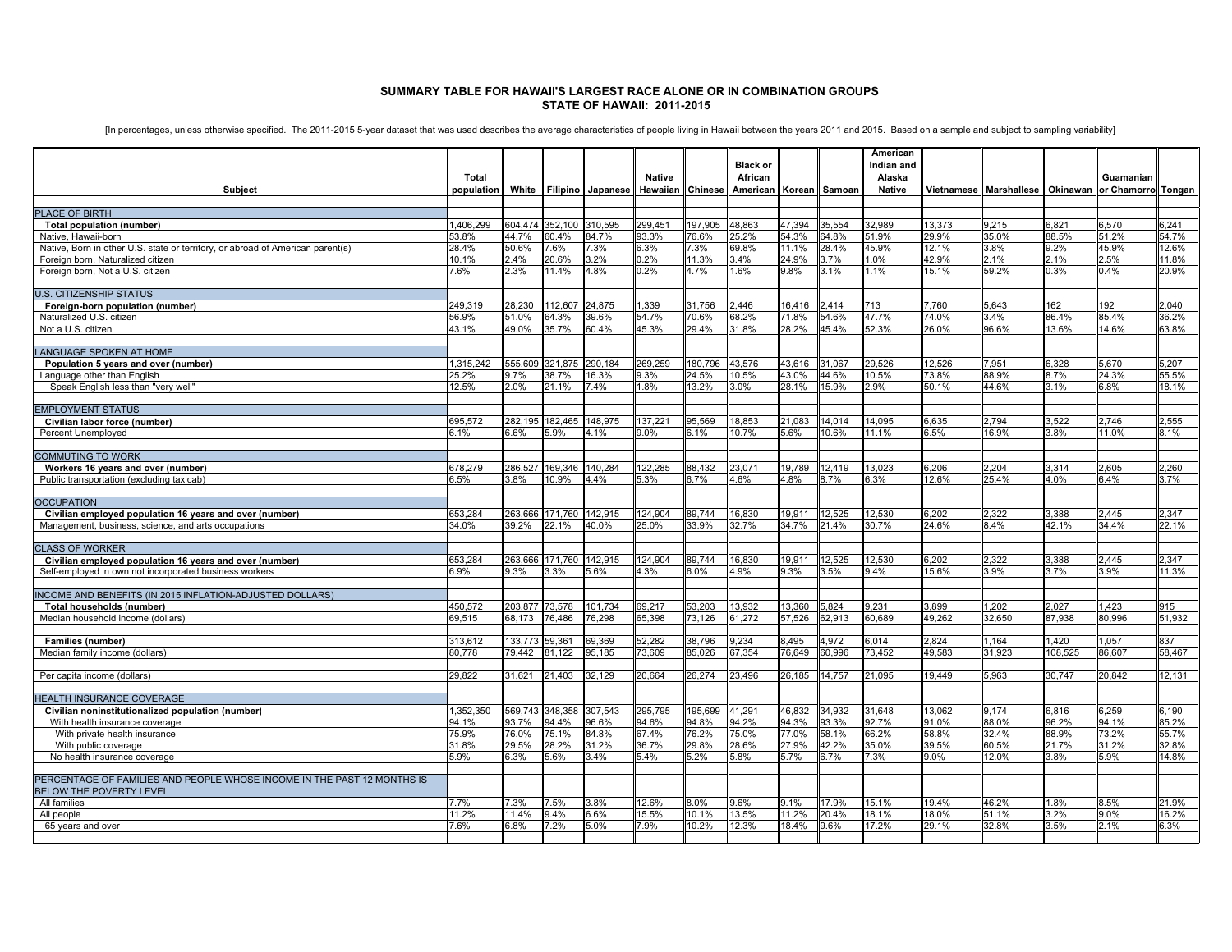## **SUMMARY TABLE FOR HAWAII'S LARGEST RACE ALONE OR IN COMBINATION GROUPS STATE OF HAWAII: 2011-2015**

[In percentages, unless otherwise specified. The 2011-2015 5-year dataset that was used describes the average characteristics of people living in Hawaii between the years 2011 and 2015. Based on a sample and subject to sam

|                                                                                                                   |                   |                                  |                  |                         |                  |                  | <b>Black or</b> |                 |                             | American<br>Indian and |                 |                                                    |                  |                |                |
|-------------------------------------------------------------------------------------------------------------------|-------------------|----------------------------------|------------------|-------------------------|------------------|------------------|-----------------|-----------------|-----------------------------|------------------------|-----------------|----------------------------------------------------|------------------|----------------|----------------|
|                                                                                                                   | Total             |                                  |                  |                         | <b>Native</b>    |                  | African         |                 |                             | Alaska                 |                 |                                                    |                  | Guamanian      |                |
| Subject                                                                                                           | population        |                                  |                  | White Filipino Japanese | Hawaiian         | <b>Chinese</b>   | American        |                 | Korean Samoan               | Native                 |                 | Vietnamese Marshallese Okinawan or Chamorro Tongan |                  |                |                |
| PLACE OF BIRTH                                                                                                    |                   |                                  |                  |                         |                  |                  |                 |                 |                             |                        |                 |                                                    |                  |                |                |
| Total population (number)                                                                                         | 1,406,299         | 604,474                          | 352,100          | 310,595                 | 299,451          | 197,905          | 48,863          | 47,394          | 35,554                      | 32,989                 | 13,373          | 9,215                                              | 6,821            | 3,570          | 6,241          |
| Native, Hawaii-born                                                                                               | 53.8%             | 14.7%                            | 60.4%            | 34.7%                   | 93.3%            | 76.6%            | 25.2%           | 54.3%           | 34.8%                       | 51.9%                  | 29.9%           | 35.0%                                              | 88.5%            | 1.2%           | 54.7%          |
| Native, Born in other U.S. state or territory, or abroad of American parent(s)                                    | 28.4%             | 50.6%                            | 7.6%             | 7.3%                    | 6.3%             | 7.3%             | 69.8%           | 11.1%           | 28.4%                       | 45.9%                  | 12.1%           | 3.8%                                               | 9.2%             | 45.9%          | 12.6%          |
| Foreign born, Naturalized citizen                                                                                 | 10.1%             | 2.4%                             | 20.6%            | 3.2%                    | 0.2%             | 11.3%            | 3.4%            | 24.9%           | 3.7%                        | 1.0%                   | 42.9%           | 2.1%                                               | 2.1%             | 2.5%           | 11.8%          |
| Foreign born, Not a U.S. citizen                                                                                  | 7.6%              | 2.3%                             | 11.4%            | 4.8%                    | 0.2%             | 4.7%             | 1.6%            | 9.8%            | 3.1%                        | 1.1%                   | 15.1%           | 59.2%                                              | 0.3%             | 0.4%           | 20.9%          |
| <b>U.S. CITIZENSHIP STATUS</b>                                                                                    |                   |                                  |                  |                         |                  |                  |                 |                 |                             |                        |                 |                                                    |                  |                |                |
| Foreign-born population (number)                                                                                  | 249,319           | 28.230                           | 112.607          | 24.875                  | 1,339            | 31.756           | 2.446           | 16.416          | 2.414                       | 713                    | 7.760           | 5,643                                              | 162              | 192            | 2.040          |
| Naturalized U.S. citizen                                                                                          | 56.9%             | 51.0%                            | 64.3%            | 39.6%                   | 54.7%            | 70.6%            | 68.2%           | 71.8%           | 54.6%                       | 47.7%                  | 74.0%           | 3.4%                                               | 86.4%            | 35.4%          | 36.2%          |
| Not a U.S. citizen                                                                                                | 43.1%             | 49.0%                            | 35.7%            | 30.4%                   | 45.3%            | 29.4%            | 31.8%           | 28.2%           | 45.4%                       | 52.3%                  | 26.0%           | 96.6%                                              | 13.6%            | 14.6%          | 63.8%          |
|                                                                                                                   |                   |                                  |                  |                         |                  |                  |                 |                 |                             |                        |                 |                                                    |                  |                |                |
| <b>LANGUAGE SPOKEN AT HOME</b>                                                                                    |                   |                                  |                  |                         |                  |                  |                 |                 |                             |                        |                 |                                                    |                  |                |                |
| Population 5 years and over (number)                                                                              | 1,315,242         | 555.609                          | 321,875          | 290.184                 | 269,259          | 180,796          | 43,576          | 43,616          | 31.067                      | 29.526                 | 12,526          | 7,951                                              | 6,328            | 5.670          | 5,207          |
| Language other than English<br>Speak English less than "very well"                                                | 25.2%<br>12.5%    | .7%<br>2.0%                      | 38.7%<br>21.1%   | 16.3%<br>.4%            | 9.3%<br>.8%      | 24.5%<br>13.2%   | 10.5%<br>3.0%   | 43.0%<br>28.1%  | 14.6%<br>15.9%              | 10.5%<br>2.9%          | 73.8%<br>50.1%  | 88.9%<br>44.6%                                     | 3.7%<br>.1%      | 24.3%<br>.8%   | 55.5%<br>18.1% |
|                                                                                                                   |                   |                                  |                  |                         |                  |                  |                 |                 |                             |                        |                 |                                                    |                  |                |                |
| <b>EMPLOYMENT STATUS</b>                                                                                          |                   |                                  |                  |                         |                  |                  |                 |                 |                             |                        |                 |                                                    |                  |                |                |
| Civilian labor force (number)                                                                                     | 695,572           | 282.195                          | 182.465          | 148,975                 | 137.221          | 95,569           | 18,853          | 21,083          | 14.014                      | 14,095                 | 6,635           | 2.794                                              | 3,522            | .746           | 2,555          |
| Percent Unemployed                                                                                                | 3.1%              | .6%                              | 5.9%             | 1.1%                    | $0.0\%$          | .1%              | 10.7%           | 5.6%            | 10.6%                       | 11.1%                  | 3.5%            | 16.9%                                              | 3.8%             | 1.0%           | 3.1%           |
|                                                                                                                   |                   |                                  |                  |                         |                  |                  |                 |                 |                             |                        |                 |                                                    |                  |                |                |
| <b>COMMUTING TO WORK</b>                                                                                          |                   |                                  |                  |                         |                  |                  |                 |                 |                             |                        |                 |                                                    |                  |                |                |
| Workers 16 years and over (number)<br>Public transportation (excluding taxicab)                                   | 678,279<br>6.5%   | 286.52<br>3.8%                   | 169,346<br>10.9% | 140,284<br>4.4%         | 122.285<br>5.3%  | 88,432<br>6.7%   | 23.071<br>4.6%  | 19.789<br>4.8%  | 12.419<br>8.7%              | 13,023<br>6.3%         | 6,206<br>12.6%  | 2.204<br>25.4%                                     | 3,314<br>4.0%    | 2,605<br>6.4%  | 2,260<br>3.7%  |
|                                                                                                                   |                   |                                  |                  |                         |                  |                  |                 |                 |                             |                        |                 |                                                    |                  |                |                |
| <b>OCCUPATION</b>                                                                                                 |                   |                                  |                  |                         |                  |                  |                 |                 |                             |                        |                 |                                                    |                  |                |                |
| Civilian employed population 16 years and over (number)                                                           | 653,284           | 263,666                          | 171,760          | 142,915                 | 124,904          | 89.744           | 16,830          | 19,911          | 12,525                      | 12,530                 | 6,202           | 2,322                                              | 3,388            | 2.445          | 2.347          |
| Management, business, science, and arts occupations                                                               | 34.0%             | 39.2%                            | 22.1%            | 40.0%                   | 25.0%            | 33.9%            | 32.7%           | 34.7%           | 21.4%                       | 30.7%                  | 24.6%           | 8.4%                                               | 42.1%            | 34.4%          | 22.1%          |
|                                                                                                                   |                   |                                  |                  |                         |                  |                  |                 |                 |                             |                        |                 |                                                    |                  |                |                |
| <b>CLASS OF WORKER</b>                                                                                            |                   | 263.666                          | 171.760          |                         | 124.904          | 89.744           |                 | 19.911          |                             | 12,530                 | 3,202           | 2,322                                              |                  | .445           | 2.347          |
| Civilian employed population 16 years and over (number)<br>Self-employed in own not incorporated business workers | 653,284<br>6.9%   | $3.3\%$                          | 3.3%             | 142,915<br>5.6%         | 4.3%             | $3.0\%$          | 16,830<br>4.9%  | 9.3%            | 12,525<br>3.5%              | 9.4%                   | 15.6%           | 3.9%                                               | 3,388<br>3.7%    | 3.9%           | 11.3%          |
|                                                                                                                   |                   |                                  |                  |                         |                  |                  |                 |                 |                             |                        |                 |                                                    |                  |                |                |
| <b>INCOME AND BENEFITS (IN 2015 INFLATION-ADJUSTED DOLLARS)</b>                                                   |                   |                                  |                  |                         |                  |                  |                 |                 |                             |                        |                 |                                                    |                  |                |                |
| Total households (number)                                                                                         | 450.572           | 203.877                          | 73.578           | 101.734                 | 69.217           | 53.203           | 13.932          | 13.360          | 5.824                       | 9.231                  | 3.899           | 1.202                                              | 2.027            | 1.423          | 915            |
| Median household income (dollars)                                                                                 | 69.515            | 68.173                           | 76.486           | 76.298                  | 65.398           | 73.126           | 61.272          | 57.526          | 32.913                      | 60.689                 | 49.262          | 32.650                                             | 87.938           | 30.996         | 51.932         |
|                                                                                                                   |                   |                                  |                  |                         |                  |                  |                 |                 |                             |                        |                 |                                                    |                  |                |                |
| <b>Families (number)</b><br>Median family income (dollars)                                                        | 313.612<br>80.778 | 133.773 59.361<br>$\sqrt{9.442}$ | 81,122           | 39.369<br>35.185        | 52.282<br>73.609 | 38.796<br>85.026 | 9.234<br>67.354 | 8.495<br>76.649 | $\frac{1.972}{2}$<br>60.996 | 6.014<br>73.452        | 2.824<br>49.583 | 1.164<br>31.923                                    | 1.420<br>108.525 | .057<br>36.607 | 837<br>58.467  |
|                                                                                                                   |                   |                                  |                  |                         |                  |                  |                 |                 |                             |                        |                 |                                                    |                  |                |                |
| Per capita income (dollars)                                                                                       | 29.822            | 31,621                           | 21,403           | 32.129                  | 20.664           | 26,274           | 23,496          | 26,185          | 14.757                      | 21.095                 | 19.449          | 5.963                                              | 30.747           | 20.842         | 12.131         |
|                                                                                                                   |                   |                                  |                  |                         |                  |                  |                 |                 |                             |                        |                 |                                                    |                  |                |                |
| HEALTH INSURANCE COVERAGE                                                                                         |                   |                                  |                  |                         |                  |                  |                 |                 |                             |                        |                 |                                                    |                  |                |                |
| Civilian noninstitutionalized population (number)                                                                 | 1.352.350         | 69.743                           | 348,358          | 307.543                 | 295.795          | 95.699           | 41,291          | 46.832          | 34.932                      | 31.648                 | 13.062          | 9.174                                              | 3.816            | 3.259          | 3.190          |
| With health insurance coverage                                                                                    | 94.1%             | 3.7%                             | 94.4%            | 96.6%                   | 94.6%            | 94.8%            | 94.2%           | 94.3%           | 93.3%                       | 92.7%                  | 91.0%           | 88.0%                                              | 96.2%            | 94.1%          | 85.2%          |
| With private health insurance<br>With public coverage                                                             | 75.9%<br>31.8%    | 6.0%<br>29.5%                    | 75.1%<br>28.2%   | 34.8%<br>31.2%          | 67.4%<br>36.7%   | 76.2%<br>29.8%   | 75.0%<br>28.6%  | 77.0%<br>27.9%  | 58.1%<br>42.2%              | 66.2%<br>35.0%         | 58.8%<br>39.5%  | 32.4%<br>60.5%                                     | 38.9%<br>21.7%   | 3.2%<br>31.2%  | 55.7%<br>32.8% |
| No health insurance coverage                                                                                      | 5.9%              | 3.3%                             | 5.6%             | 3.4%                    | 5.4%             | 5.2%             | 5.8%            | 5.7%            | 3.7%                        | 7.3%                   | 9.0%            | 12.0%                                              | 3.8%             | 5.9%           | 14.8%          |
|                                                                                                                   |                   |                                  |                  |                         |                  |                  |                 |                 |                             |                        |                 |                                                    |                  |                |                |
| PERCENTAGE OF FAMILIES AND PEOPLE WHOSE INCOME IN THE PAST 12 MONTHS IS<br><b>BELOW THE POVERTY LEVEL</b>         |                   |                                  |                  |                         |                  |                  |                 |                 |                             |                        |                 |                                                    |                  |                |                |
| All families                                                                                                      | 7.7%              | 7.3%                             | 7.5%             | 3.8%                    | 12.6%            | 8.0%             | 9.6%            | 9.1%            | 17.9%                       | 15.1%                  | 19.4%           | 46.2%                                              | 1.8%             | 3.5%           | 21.9%          |
| All people                                                                                                        | 11.2%             | 11 4%                            | 9.4%             | 6.6%                    | 15.5%            | 10.1%            | 13.5%           | 11.2%           | 20.4%                       | 18.1%                  | 18.0%           | 51.1%                                              | 3.2%             | $0.0\%$        | 16.2%          |
| 65 years and over                                                                                                 | 7.6%              | 3.8%                             | 7.2%             | 5.0%                    | 7.9%             | 10.2%            | 12.3%           | 18.4%           | 9.6%                        | 17.2%                  | 29.1%           | 32.8%                                              | 3.5%             | 21%            | 6.3%           |
|                                                                                                                   |                   |                                  |                  |                         |                  |                  |                 |                 |                             |                        |                 |                                                    |                  |                |                |